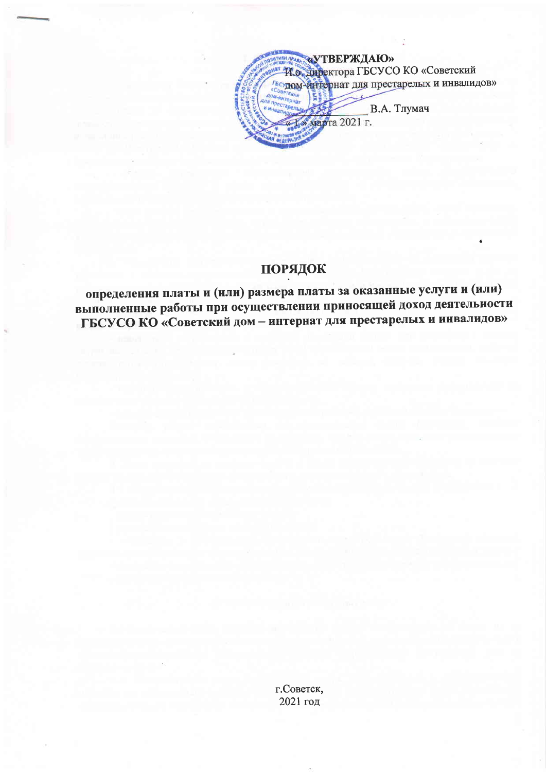«УТВЕРЖДАЮ» И о директора ГБСУСО КО «Советский Гесудом интернат для престарелых и инвалидов» В.А. Тлумач марта 2021 г.

## порядок

определения платы и (или) размера платы за оказанные услуги и (или) выполненные работы при осуществлении приносящей доход деятельности ГБСУСО КО «Советский дом - интернат для престарелых и инвалидов»

> г. Советск, 2021 год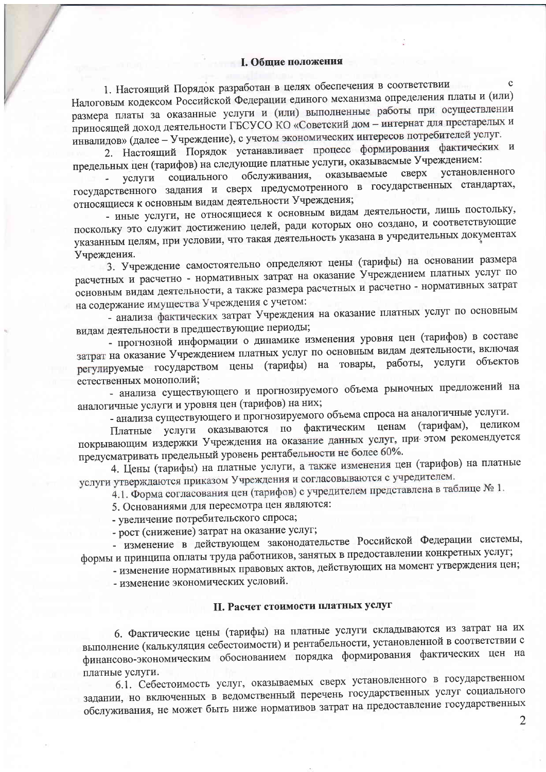#### **I. Общие положения**

1. Настоящий Порядок разработан в целях обеспечения в соответствии Налоговым кодексом Российской Федерации единого механизма определения платы и (или) размера платы за оказанные услуги и (или) выполненные работы при осуществлении приносящей доход деятельности ГБСУСО КО «Советский дом - интернат для престарелых и инвалидов» (далее - Учреждение), с учетом экономических интересов потребителей услуг.

2. Настоящий Порядок устанавливает процесс формирования фактических и предельных цен (тарифов) на следующие платные услуги, оказываемые Учреждением:

социального обслуживания, оказываемые сверх установленного услуги государственного задания и сверх предусмотренного в государственных стандартах, относящиеся к основным видам деятельности Учреждения;

- иные услуги, не относящиеся к основным видам деятельности, лишь постольку, поскольку это служит достижению целей, ради которых оно создано, и соответствующие указанным целям, при условии, что такая деятельность указана в учредительных документах Учреждения.

3. Учреждение самостоятельно определяют цены (тарифы) на основании размера расчетных и расчетно - нормативных затрат на оказание Учреждением платных услуг по основным видам деятельности, а также размера расчетных и расчетно - нормативных затрат на содержание имущества Учреждения с учетом:

- анализа фактических затрат Учреждения на оказание платных услуг по основным видам деятельности в предшествующие периоды;

- прогнозной информации о динамике изменения уровня цен (тарифов) в составе затрат на оказание Учреждением платных услуг по основным видам деятельности, включая регулируемые государством цены (тарифы) на товары, работы, услуги объектов естественных монополий;

- анализа существующего и прогнозируемого объема рыночных предложений на аналогичные услуги и уровня цен (тарифов) на них;

- анализа существующего и прогнозируемого объема спроса на аналогичные услуги.

Платные услуги оказываются по фактическим ценам (тарифам), целиком покрывающим издержки Учреждения на оказание данных услуг, при этом рекомендуется предусматривать предельный уровень рентабельности не более 60%.

4. Цены (тарифы) на платные услуги, а также изменения цен (тарифов) на платные услуги утверждаются приказом Учреждения и согласовываются с учредителем.

4.1. Форма согласования цен (тарифов) с учредителем представлена в таблице № 1.

5. Основаниями для пересмотра цен являются:

- увеличение потребительского спроса;

- рост (снижение) затрат на оказание услуг;

- изменение в действующем законодательстве Российской Федерации системы, формы и принципа оплаты труда работников, занятых в предоставлении конкретных услуг;

- изменение нормативных правовых актов, действующих на момент утверждения цен;

- изменение экономических условий.

### II. Расчет стоимости платных услуг

6. Фактические цены (тарифы) на платные услуги складываются из затрат на их выполнение (калькуляция себестоимости) и рентабельности, установленной в соответствии с финансово-экономическим обоснованием порядка формирования фактических цен на платные услуги.

6.1. Себестоимость услуг, оказываемых сверх установленного в государственном задании, но включенных в ведомственный перечень государственных услуг социального обслуживания, не может быть ниже нормативов затрат на предоставление государственных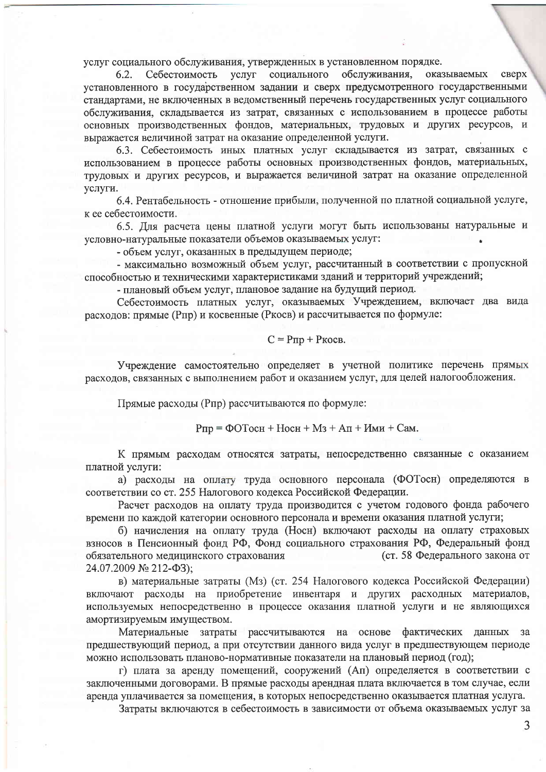услуг социального обслуживания, утвержденных в установленном порядке.

 $6.2.$ Себестоимость услуг социального обслуживания, оказываемых сверх установленного в государственном задании и сверх предусмотренного государственными стандартами, не включенных в ведомственный перечень государственных услуг социального обслуживания, складывается из затрат, связанных с использованием в процессе работы основных производственных фондов, материальных, трудовых и других ресурсов, и выражается величиной затрат на оказание определенной услуги.

6.3. Себестоимость иных платных услуг складывается из затрат, связанных с использованием в процессе работы основных производственных фондов, материальных, трудовых и других ресурсов, и выражается величиной затрат на оказание определенной услуги.

6.4. Рентабельность - отношение прибыли, полученной по платной социальной услуге, к ее себестоимости.

6.5. Для расчета цены платной услуги могут быть использованы натуральные и условно-натуральные показатели объемов оказываемых услуг:

- объем услуг, оказанных в предыдущем периоде;

- максимально возможный объем услуг, рассчитанный в соответствии с пропускной способностью и техническими характеристиками зданий и территорий учреждений;

- плановый объем услуг, плановое задание на будущий период.

Себестоимость платных услуг, оказываемых Учреждением, включает два вида расходов: прямые (Рпр) и косвенные (Ркосв) и рассчитывается по формуле:

#### $C = P \pi p + P \kappa o c B$ .

Учреждение самостоятельно определяет в учетной политике перечень прямых расходов, связанных с выполнением работ и оказанием услуг, для целей налогообложения.

Прямые расходы (Рпр) рассчитываются по формуле:

 $P_{\Pi D} = \Phi O$  Toch + Hoch + M<sub>3</sub> + A<sub> $\Pi$ </sub> +  $M_{\text{MM}}$  + Cam.

К прямым расходам относятся затраты, непосредственно связанные с оказанием платной услуги:

а) расходы на оплату труда основного персонала (ФОТосн) определяются в соответствии со ст. 255 Налогового кодекса Российской Федерации.

Расчет расходов на оплату труда производится с учетом годового фонда рабочего времени по каждой категории основного персонала и времени оказания платной услуги;

б) начисления на оплату труда (Носн) включают расходы на оплату страховых взносов в Пенсионный фонд РФ, Фонд социального страхования РФ, Федеральный фонд обязательного медицинского страхования (ст. 58 Федерального закона от 24.07.2009 № 212-ФЗ);

в) материальные затраты (Мз) (ст. 254 Налогового кодекса Российской Федерации) включают расходы на приобретение инвентаря и других расходных материалов, используемых непосредственно в процессе оказания платной услуги и не являющихся амортизируемым имуществом.

Материальные затраты рассчитываются на основе фактических данных за предшествующий период, а при отсутствии данного вида услуг в предшествующем периоде можно использовать планово-нормативные показатели на плановый период (год);

г) плата за аренду помещений, сооружений (Ап) определяется в соответствии с заключенными договорами. В прямые расходы арендная плата включается в том случае, если аренда уплачивается за помещения, в которых непосредственно оказывается платная услуга.

Затраты включаются в себестоимость в зависимости от объема оказываемых услуг за

3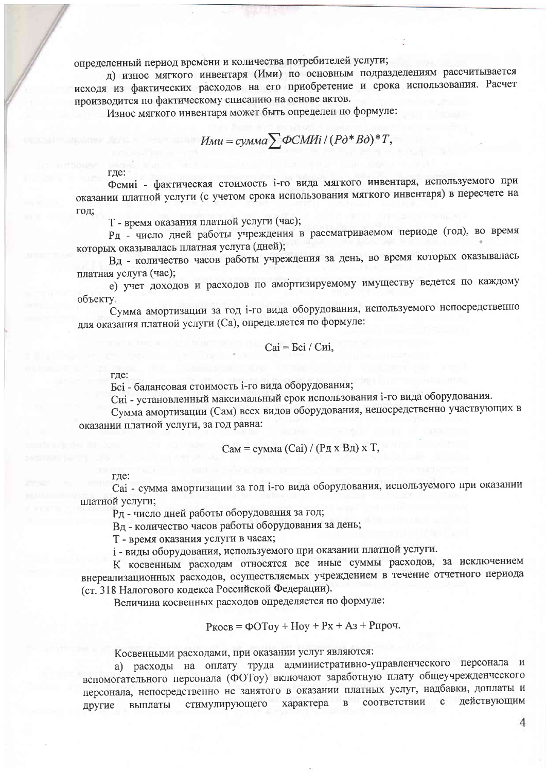определенный период времени и количества потребителей услуги;

д) износ мягкого инвентаря (Ими) по основным подразделениям рассчитывается исходя из фактических расходов на его приобретение и срока использования. Расчет производится по фактическому списанию на основе актов.

Износ мягкого инвентаря может быть определен по формуле:

$$
M_{\text{Mu}} = c_{\text{Y} \text{M} \text{M} a} \sum \Phi \text{C} \text{M} \text{Mi} / (P \partial^* B \partial)^* T,
$$

где:

Фемиі - фактическая стоимость і-го вида мягкого инвентаря, используемого при оказании платной услуги (с учетом срока использования мягкого инвентаря) в пересчете на год;

Т - время оказания платной услуги (час);

Рд - число дней работы учреждения в рассматриваемом периоде (год), во время которых оказывалась платная услуга (дней);

Вд - количество часов работы учреждения за день, во время которых оказывалась платная услуга (час):

е) учет доходов и расходов по амортизируемому имуществу ведется по каждому объекту.

Сумма амортизации за год і-го вида оборудования, используемого непосредственно для оказания платной услуги (Ca), определяется по формуле:

$$
Cai = Eci / Cui,
$$

где:

Бсі - балансовая стоимость і-го вида оборудования;

Сиі - установленный максимальный срок использования і-го вида оборудования.

Сумма амортизации (Сам) всех видов оборудования, непосредственно участвующих в оказании платной услуги, за год равна:

$$
Can = cymma (Cai) / (Pax Ba) x T,
$$

где:

Саі - сумма амортизации за год і-го вида оборудования, используемого при оказании платной услуги;

Рд - число дней работы оборудования за год;

Вд - количество часов работы оборудования за день;

Т - время оказания услуги в часах;

і - виды оборудования, используемого при оказании платной услуги.

К косвенным расходам относятся все иные суммы расходов, за исключением внереализационных расходов, осуществляемых учреждением в течение отчетного периода (ст. 318 Налогового кодекса Российской Федерации).

Величина косвенных расходов определяется по формуле:

$$
P_{KOCB} = \Phi OToy + Hoy + Px + A3 + P\mu\phi.
$$

Косвенными расходами, при оказании услуг являются:

а) расходы на оплату труда административно-управленческого персонала и вспомогательного персонала (ФОТоу) включают заработную плату общеучрежденческого персонала, непосредственно не занятого в оказании платных услуг, надбавки, доплаты и соответствии  $\mathbf{c}$ действующим стимулирующего характера  $\, {\bf B}$ выплаты другие

 $\Delta$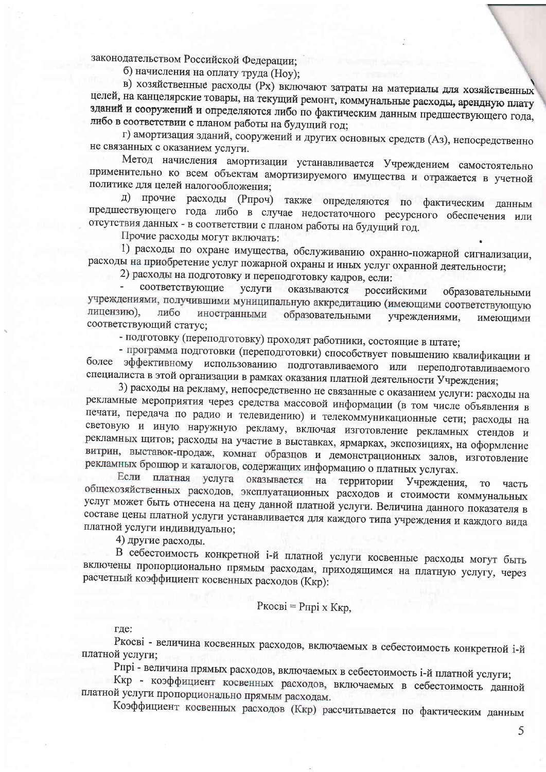законодательством Российской Федерации;

б) начисления на оплату труда (Ноу);

в) хозяйственные расходы (Px) включают затраты на материалы для хозяйственных целей, на канцелярские товары, на текущий ремонт, коммунальные расходы, арендную плату зданий и сооружений и определяются либо по фактическим данным предшествующего года, либо в соответствии с планом работы на будущий год;

г) амортизация зданий, сооружений и других основных средств (Аз), непосредственно не связанных с оказанием услуги.

Метод начисления амортизации устанавливается Учреждением самостоятельно применительно ко всем объектам амортизируемого имущества и отражается в учетной политике для целей налогообложения:

д) прочие расходы (Рпроч) также определяются по фактическим данным предшествующего года либо в случае недостаточного ресурсного обеспечения или отсутствия данных - в соответствии с планом работы на будущий год.

Прочие расходы могут включать:

1) расходы по охране имущества, обслуживанию охранно-пожарной сигнализации, расходы на приобретение услуг пожарной охраны и иных услуг охранной деятельности;

2) расходы на подготовку и переподготовку кадров, если:

соответствующие услуги оказываются российскими образовательными учреждениями, получившими муниципальную аккредитацию (имеющими соответствующую лицензию). либо иностранными образовательными учреждениями, имеющими соответствующий статус;

- подготовку (переподготовку) проходят работники, состоящие в штате;

- программа подготовки (переподготовки) способствует повышению квалификации и более эффективному использованию подготавливаемого или переподготавливаемого специалиста в этой организации в рамках оказания платной деятельности Учреждения;

3) расходы на рекламу, непосредственно не связанные с оказанием услуги: расходы на рекламные мероприятия через средства массовой информации (в том числе объявления в печати, передача по радио и телевидению) и телекоммуникационные сети; расходы на световую и иную наружную рекламу, включая изготовление рекламных стендов и рекламных щитов; расходы на участие в выставках, ярмарках, экспозициях, на оформление витрин, выставок-продаж, комнат образцов и демонстрационных залов, изготовление рекламных брошюр и каталогов, содержащих информацию о платных услугах.

Если платная услуга оказывается на территории Учреждения, **TO** часть общехозяйственных расходов, эксплуатационных расходов и стоимости коммунальных услуг может быть отнесена на цену данной платной услуги. Величина данного показателя в составе цены платной услуги устанавливается для каждого типа учреждения и каждого вида платной услуги индивидуально;

4) другие расходы.

В себестоимость конкретной і-й платной услуги косвенные расходы могут быть включены пропорционально прямым расходам, приходящимся на платную услугу, через расчетный коэффициент косвенных расходов (Ккр):

#### Ркосві = Рпрі х Ккр,

где:

Ркосві - величина косвенных расходов, включаемых в себестоимость конкретной і-й платной услуги;

Рпрі - величина прямых расходов, включаемых в себестоимость і-й платной услуги;

Ккр - коэффициент косвенных расходов, включаемых в себестоимость данной платной услуги пропорционально прямым расходам.

Коэффициент косвенных расходов (Ккр) рассчитывается по фактическим данным

5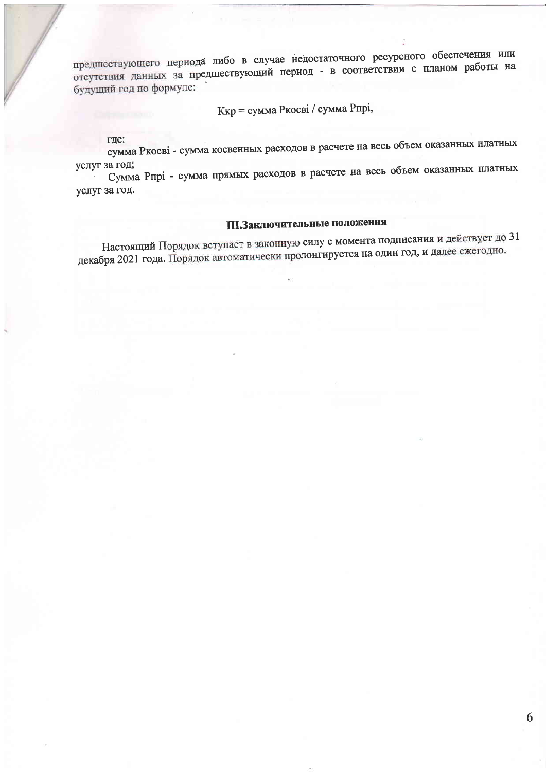предшествующего периода либо в случае недостаточного ресурсного обеспечения или отсутствия данных за предшествующий период - в соответствии с планом работы на будущий год по формуле:

Ккр = сумма Ркосві / сумма Рпрі,

где:

сумма Ркосві - сумма косвенных расходов в расчете на весь объем оказанных платных услуг за год;

Сумма Рпрі - сумма прямых расходов в расчете на весь объем оказанных платных услуг за год.

## III. Заключительные положения

Настоящий Порядок вступает в законную силу с момента подписания и действует до 31 декабря 2021 года. Порядок автоматически пролонгируется на один год, и далее ежегодно.